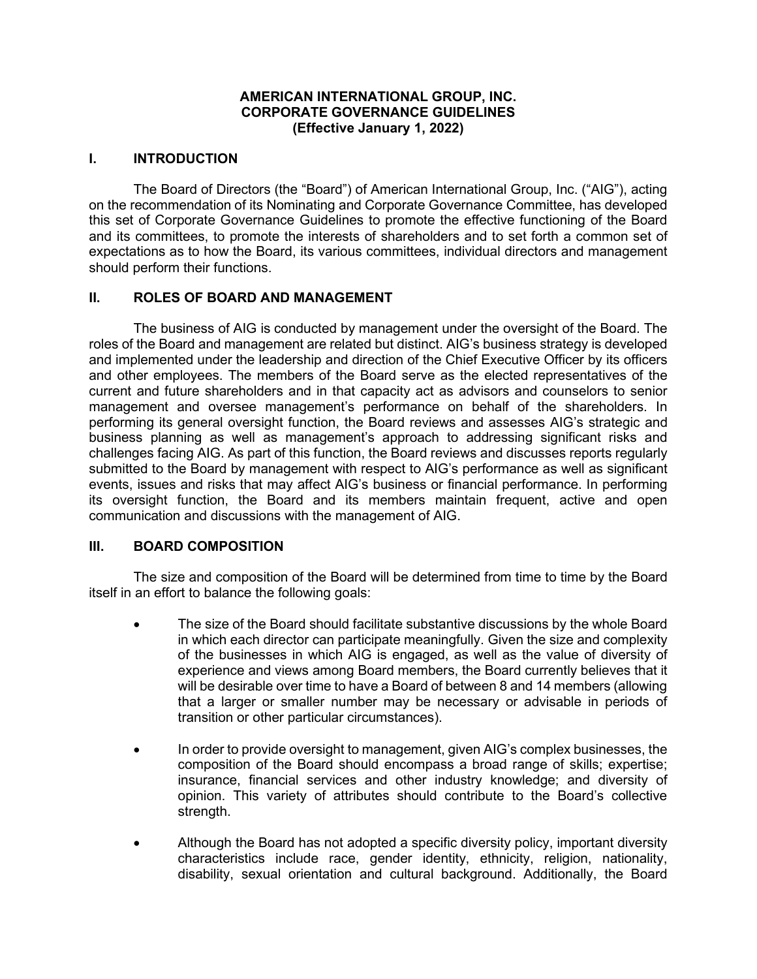## **AMERICAN INTERNATIONAL GROUP, INC. CORPORATE GOVERNANCE GUIDELINES (Effective January 1, 2022)**

#### **I. INTRODUCTION**

The Board of Directors (the "Board") of American International Group, Inc. ("AIG"), acting on the recommendation of its Nominating and Corporate Governance Committee, has developed this set of Corporate Governance Guidelines to promote the effective functioning of the Board and its committees, to promote the interests of shareholders and to set forth a common set of expectations as to how the Board, its various committees, individual directors and management should perform their functions.

#### **II. ROLES OF BOARD AND MANAGEMENT**

The business of AIG is conducted by management under the oversight of the Board. The roles of the Board and management are related but distinct. AIG's business strategy is developed and implemented under the leadership and direction of the Chief Executive Officer by its officers and other employees. The members of the Board serve as the elected representatives of the current and future shareholders and in that capacity act as advisors and counselors to senior management and oversee management's performance on behalf of the shareholders. In performing its general oversight function, the Board reviews and assesses AIG's strategic and business planning as well as management's approach to addressing significant risks and challenges facing AIG. As part of this function, the Board reviews and discusses reports regularly submitted to the Board by management with respect to AIG's performance as well as significant events, issues and risks that may affect AIG's business or financial performance. In performing its oversight function, the Board and its members maintain frequent, active and open communication and discussions with the management of AIG.

#### **III. BOARD COMPOSITION**

The size and composition of the Board will be determined from time to time by the Board itself in an effort to balance the following goals:

- The size of the Board should facilitate substantive discussions by the whole Board in which each director can participate meaningfully. Given the size and complexity of the businesses in which AIG is engaged, as well as the value of diversity of experience and views among Board members, the Board currently believes that it will be desirable over time to have a Board of between 8 and 14 members (allowing that a larger or smaller number may be necessary or advisable in periods of transition or other particular circumstances).
- In order to provide oversight to management, given AIG's complex businesses, the composition of the Board should encompass a broad range of skills; expertise; insurance, financial services and other industry knowledge; and diversity of opinion. This variety of attributes should contribute to the Board's collective strength.
- Although the Board has not adopted a specific diversity policy, important diversity characteristics include race, gender identity, ethnicity, religion, nationality, disability, sexual orientation and cultural background. Additionally, the Board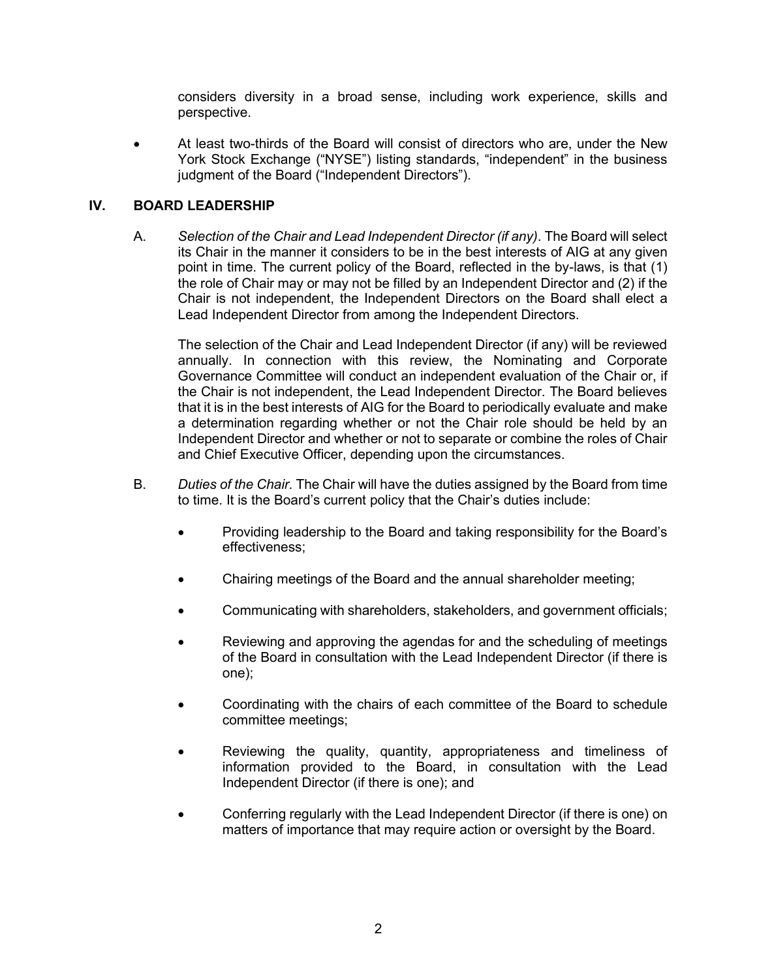considers diversity in a broad sense, including work experience, skills and perspective.

• At least two-thirds of the Board will consist of directors who are, under the New York Stock Exchange ("NYSE") listing standards, "independent" in the business judgment of the Board ("Independent Directors").

## **IV. BOARD LEADERSHIP**

A. *Selection of the Chair and Lead Independent Director (if any)*. The Board will select its Chair in the manner it considers to be in the best interests of AIG at any given point in time. The current policy of the Board, reflected in the by-laws, is that (1) the role of Chair may or may not be filled by an Independent Director and (2) if the Chair is not independent, the Independent Directors on the Board shall elect a Lead Independent Director from among the Independent Directors.

The selection of the Chair and Lead Independent Director (if any) will be reviewed annually. In connection with this review, the Nominating and Corporate Governance Committee will conduct an independent evaluation of the Chair or, if the Chair is not independent, the Lead Independent Director. The Board believes that it is in the best interests of AIG for the Board to periodically evaluate and make a determination regarding whether or not the Chair role should be held by an Independent Director and whether or not to separate or combine the roles of Chair and Chief Executive Officer, depending upon the circumstances.

- B. *Duties of the Chair*. The Chair will have the duties assigned by the Board from time to time. It is the Board's current policy that the Chair's duties include:
	- Providing leadership to the Board and taking responsibility for the Board's effectiveness;
	- Chairing meetings of the Board and the annual shareholder meeting;
	- Communicating with shareholders, stakeholders, and government officials;
	- Reviewing and approving the agendas for and the scheduling of meetings of the Board in consultation with the Lead Independent Director (if there is one);
	- Coordinating with the chairs of each committee of the Board to schedule committee meetings;
	- Reviewing the quality, quantity, appropriateness and timeliness of information provided to the Board, in consultation with the Lead Independent Director (if there is one); and
	- Conferring regularly with the Lead Independent Director (if there is one) on matters of importance that may require action or oversight by the Board.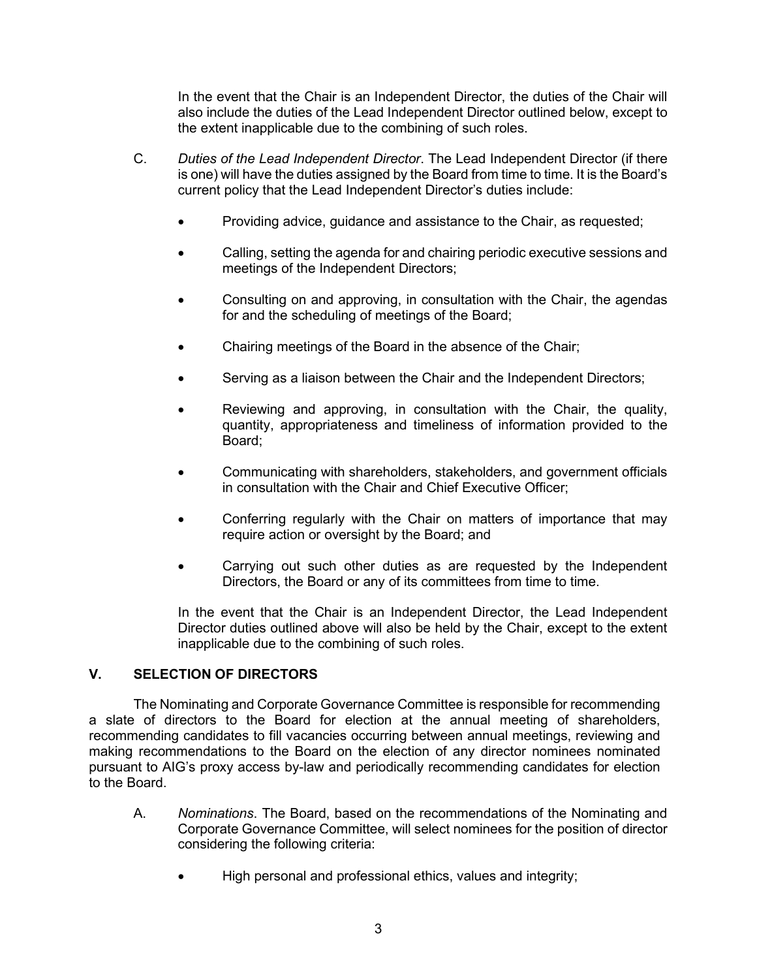In the event that the Chair is an Independent Director, the duties of the Chair will also include the duties of the Lead Independent Director outlined below, except to the extent inapplicable due to the combining of such roles.

- C. *Duties of the Lead Independent Director*. The Lead Independent Director (if there is one) will have the duties assigned by the Board from time to time. It is the Board's current policy that the Lead Independent Director's duties include:
	- Providing advice, guidance and assistance to the Chair, as requested;
	- Calling, setting the agenda for and chairing periodic executive sessions and meetings of the Independent Directors;
	- Consulting on and approving, in consultation with the Chair, the agendas for and the scheduling of meetings of the Board;
	- Chairing meetings of the Board in the absence of the Chair;
	- Serving as a liaison between the Chair and the Independent Directors;
	- Reviewing and approving, in consultation with the Chair, the quality, quantity, appropriateness and timeliness of information provided to the Board;
	- Communicating with shareholders, stakeholders, and government officials in consultation with the Chair and Chief Executive Officer;
	- Conferring regularly with the Chair on matters of importance that may require action or oversight by the Board; and
	- Carrying out such other duties as are requested by the Independent Directors, the Board or any of its committees from time to time.

In the event that the Chair is an Independent Director, the Lead Independent Director duties outlined above will also be held by the Chair, except to the extent inapplicable due to the combining of such roles.

## **V. SELECTION OF DIRECTORS**

The Nominating and Corporate Governance Committee is responsible for recommending a slate of directors to the Board for election at the annual meeting of shareholders, recommending candidates to fill vacancies occurring between annual meetings, reviewing and making recommendations to the Board on the election of any director nominees nominated pursuant to AIG's proxy access by-law and periodically recommending candidates for election to the Board.

- A. *Nominations*. The Board, based on the recommendations of the Nominating and Corporate Governance Committee, will select nominees for the position of director considering the following criteria:
	- High personal and professional ethics, values and integrity;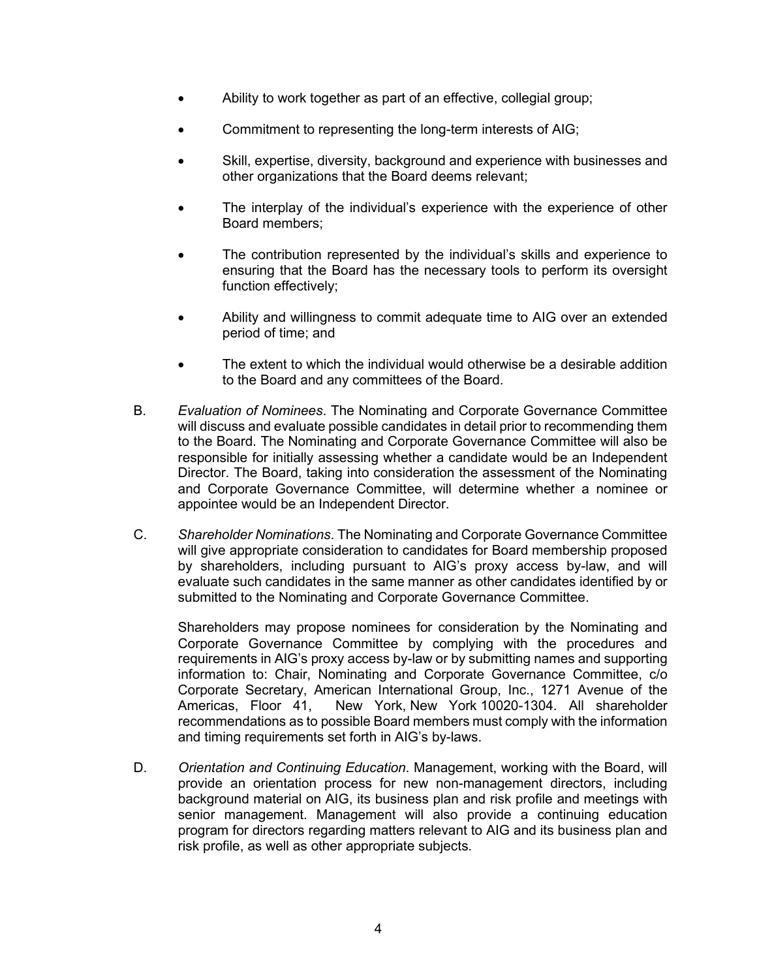- Ability to work together as part of an effective, collegial group;
- Commitment to representing the long-term interests of AIG;
- Skill, expertise, diversity, background and experience with businesses and other organizations that the Board deems relevant;
- The interplay of the individual's experience with the experience of other Board members;
- The contribution represented by the individual's skills and experience to ensuring that the Board has the necessary tools to perform its oversight function effectively;
- Ability and willingness to commit adequate time to AIG over an extended period of time; and
- The extent to which the individual would otherwise be a desirable addition to the Board and any committees of the Board.
- B. *Evaluation of Nominees*. The Nominating and Corporate Governance Committee will discuss and evaluate possible candidates in detail prior to recommending them to the Board. The Nominating and Corporate Governance Committee will also be responsible for initially assessing whether a candidate would be an Independent Director. The Board, taking into consideration the assessment of the Nominating and Corporate Governance Committee, will determine whether a nominee or appointee would be an Independent Director.
- C. *Shareholder Nominations*. The Nominating and Corporate Governance Committee will give appropriate consideration to candidates for Board membership proposed by shareholders, including pursuant to AIG's proxy access by-law, and will evaluate such candidates in the same manner as other candidates identified by or submitted to the Nominating and Corporate Governance Committee.

Shareholders may propose nominees for consideration by the Nominating and Corporate Governance Committee by complying with the procedures and requirements in AIG's proxy access by-law or by submitting names and supporting information to: Chair, Nominating and Corporate Governance Committee, c/o Corporate Secretary, American International Group, Inc., 1271 Avenue of the Americas, Floor 41, New York, New York 10020-1304. All shareholder New York, New York 10020-1304. All shareholder recommendations as to possible Board members must comply with the information and timing requirements set forth in AIG's by-laws.

D. *Orientation and Continuing Education*. Management, working with the Board, will provide an orientation process for new non-management directors, including background material on AIG, its business plan and risk profile and meetings with senior management. Management will also provide a continuing education program for directors regarding matters relevant to AIG and its business plan and risk profile, as well as other appropriate subjects.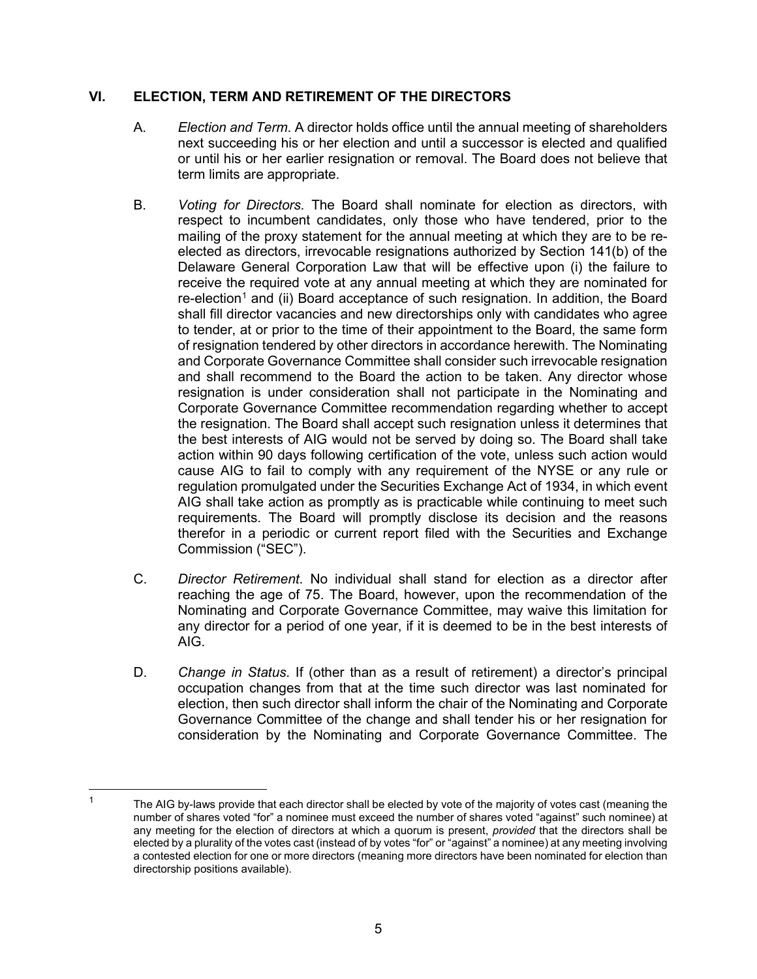# **VI. ELECTION, TERM AND RETIREMENT OF THE DIRECTORS**

- A. *Election and Term*. A director holds office until the annual meeting of shareholders next succeeding his or her election and until a successor is elected and qualified or until his or her earlier resignation or removal. The Board does not believe that term limits are appropriate.
- B. *Voting for Directors*. The Board shall nominate for election as directors, with respect to incumbent candidates, only those who have tendered, prior to the mailing of the proxy statement for the annual meeting at which they are to be reelected as directors, irrevocable resignations authorized by Section 141(b) of the Delaware General Corporation Law that will be effective upon (i) the failure to receive the required vote at any annual meeting at which they are nominated for  $re-electron<sup>1</sup>$  $re-electron<sup>1</sup>$  $re-electron<sup>1</sup>$  and (ii) Board acceptance of such resignation. In addition, the Board shall fill director vacancies and new directorships only with candidates who agree to tender, at or prior to the time of their appointment to the Board, the same form of resignation tendered by other directors in accordance herewith. The Nominating and Corporate Governance Committee shall consider such irrevocable resignation and shall recommend to the Board the action to be taken. Any director whose resignation is under consideration shall not participate in the Nominating and Corporate Governance Committee recommendation regarding whether to accept the resignation. The Board shall accept such resignation unless it determines that the best interests of AIG would not be served by doing so. The Board shall take action within 90 days following certification of the vote, unless such action would cause AIG to fail to comply with any requirement of the NYSE or any rule or regulation promulgated under the Securities Exchange Act of 1934, in which event AIG shall take action as promptly as is practicable while continuing to meet such requirements. The Board will promptly disclose its decision and the reasons therefor in a periodic or current report filed with the Securities and Exchange Commission ("SEC").
- C. *Director Retirement*. No individual shall stand for election as a director after reaching the age of 75. The Board, however, upon the recommendation of the Nominating and Corporate Governance Committee, may waive this limitation for any director for a period of one year, if it is deemed to be in the best interests of AIG.
- D. *Change in Status*. If (other than as a result of retirement) a director's principal occupation changes from that at the time such director was last nominated for election, then such director shall inform the chair of the Nominating and Corporate Governance Committee of the change and shall tender his or her resignation for consideration by the Nominating and Corporate Governance Committee. The

<span id="page-4-0"></span><sup>1</sup> The AIG by-laws provide that each director shall be elected by vote of the majority of votes cast (meaning the number of shares voted "for" a nominee must exceed the number of shares voted "against" such nominee) at any meeting for the election of directors at which a quorum is present, *provided* that the directors shall be elected by a plurality of the votes cast (instead of by votes "for" or "against" a nominee) at any meeting involving a contested election for one or more directors (meaning more directors have been nominated for election than directorship positions available).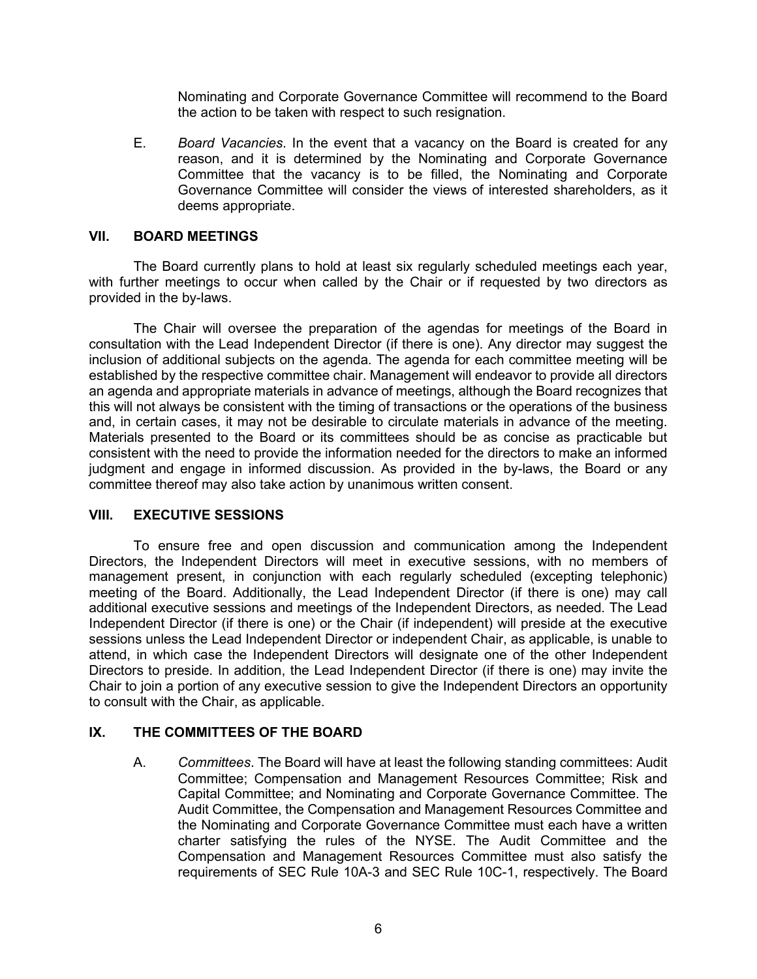Nominating and Corporate Governance Committee will recommend to the Board the action to be taken with respect to such resignation.

E. *Board Vacancies*. In the event that a vacancy on the Board is created for any reason, and it is determined by the Nominating and Corporate Governance Committee that the vacancy is to be filled, the Nominating and Corporate Governance Committee will consider the views of interested shareholders, as it deems appropriate.

#### **VII. BOARD MEETINGS**

The Board currently plans to hold at least six regularly scheduled meetings each year, with further meetings to occur when called by the Chair or if requested by two directors as provided in the by-laws.

The Chair will oversee the preparation of the agendas for meetings of the Board in consultation with the Lead Independent Director (if there is one). Any director may suggest the inclusion of additional subjects on the agenda. The agenda for each committee meeting will be established by the respective committee chair. Management will endeavor to provide all directors an agenda and appropriate materials in advance of meetings, although the Board recognizes that this will not always be consistent with the timing of transactions or the operations of the business and, in certain cases, it may not be desirable to circulate materials in advance of the meeting. Materials presented to the Board or its committees should be as concise as practicable but consistent with the need to provide the information needed for the directors to make an informed judgment and engage in informed discussion. As provided in the by-laws, the Board or any committee thereof may also take action by unanimous written consent.

## **VIII. EXECUTIVE SESSIONS**

To ensure free and open discussion and communication among the Independent Directors, the Independent Directors will meet in executive sessions, with no members of management present, in conjunction with each regularly scheduled (excepting telephonic) meeting of the Board. Additionally, the Lead Independent Director (if there is one) may call additional executive sessions and meetings of the Independent Directors, as needed. The Lead Independent Director (if there is one) or the Chair (if independent) will preside at the executive sessions unless the Lead Independent Director or independent Chair, as applicable, is unable to attend, in which case the Independent Directors will designate one of the other Independent Directors to preside. In addition, the Lead Independent Director (if there is one) may invite the Chair to join a portion of any executive session to give the Independent Directors an opportunity to consult with the Chair, as applicable.

## **IX. THE COMMITTEES OF THE BOARD**

A. *Committees*. The Board will have at least the following standing committees: Audit Committee; Compensation and Management Resources Committee; Risk and Capital Committee; and Nominating and Corporate Governance Committee. The Audit Committee, the Compensation and Management Resources Committee and the Nominating and Corporate Governance Committee must each have a written charter satisfying the rules of the NYSE. The Audit Committee and the Compensation and Management Resources Committee must also satisfy the requirements of SEC Rule 10A-3 and SEC Rule 10C-1, respectively. The Board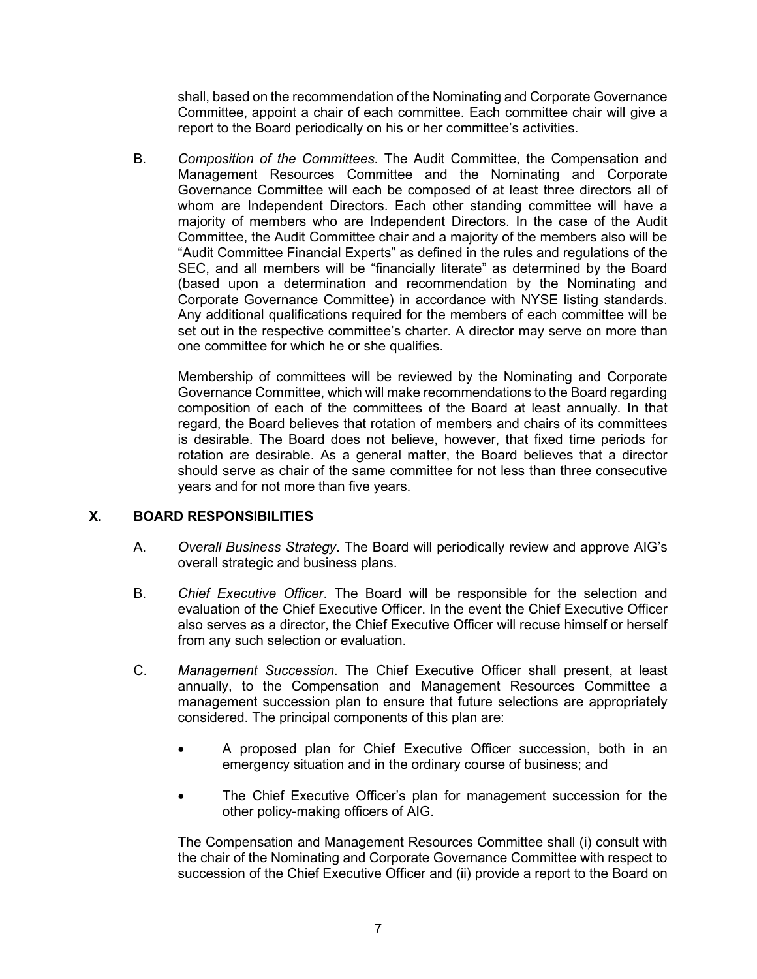shall, based on the recommendation of the Nominating and Corporate Governance Committee, appoint a chair of each committee. Each committee chair will give a report to the Board periodically on his or her committee's activities.

B. *Composition of the Committees*. The Audit Committee, the Compensation and Management Resources Committee and the Nominating and Corporate Governance Committee will each be composed of at least three directors all of whom are Independent Directors. Each other standing committee will have a majority of members who are Independent Directors. In the case of the Audit Committee, the Audit Committee chair and a majority of the members also will be "Audit Committee Financial Experts" as defined in the rules and regulations of the SEC, and all members will be "financially literate" as determined by the Board (based upon a determination and recommendation by the Nominating and Corporate Governance Committee) in accordance with NYSE listing standards. Any additional qualifications required for the members of each committee will be set out in the respective committee's charter. A director may serve on more than one committee for which he or she qualifies.

Membership of committees will be reviewed by the Nominating and Corporate Governance Committee, which will make recommendations to the Board regarding composition of each of the committees of the Board at least annually. In that regard, the Board believes that rotation of members and chairs of its committees is desirable. The Board does not believe, however, that fixed time periods for rotation are desirable. As a general matter, the Board believes that a director should serve as chair of the same committee for not less than three consecutive years and for not more than five years.

## **X. BOARD RESPONSIBILITIES**

- A. *Overall Business Strategy*. The Board will periodically review and approve AIG's overall strategic and business plans.
- B. *Chief Executive Officer*. The Board will be responsible for the selection and evaluation of the Chief Executive Officer. In the event the Chief Executive Officer also serves as a director, the Chief Executive Officer will recuse himself or herself from any such selection or evaluation.
- C. *Management Succession*. The Chief Executive Officer shall present, at least annually, to the Compensation and Management Resources Committee a management succession plan to ensure that future selections are appropriately considered. The principal components of this plan are:
	- A proposed plan for Chief Executive Officer succession, both in an emergency situation and in the ordinary course of business; and
	- The Chief Executive Officer's plan for management succession for the other policy-making officers of AIG.

The Compensation and Management Resources Committee shall (i) consult with the chair of the Nominating and Corporate Governance Committee with respect to succession of the Chief Executive Officer and (ii) provide a report to the Board on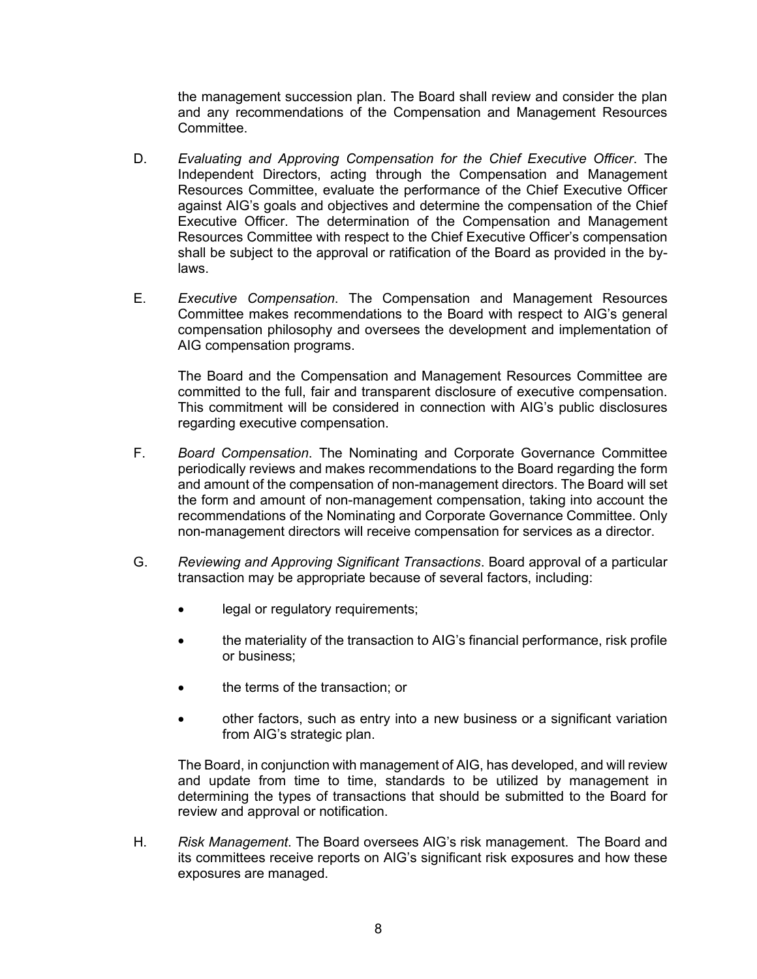the management succession plan. The Board shall review and consider the plan and any recommendations of the Compensation and Management Resources Committee.

- D. *Evaluating and Approving Compensation for the Chief Executive Officer*. The Independent Directors, acting through the Compensation and Management Resources Committee, evaluate the performance of the Chief Executive Officer against AIG's goals and objectives and determine the compensation of the Chief Executive Officer. The determination of the Compensation and Management Resources Committee with respect to the Chief Executive Officer's compensation shall be subject to the approval or ratification of the Board as provided in the bylaws.
- E. *Executive Compensation*. The Compensation and Management Resources Committee makes recommendations to the Board with respect to AIG's general compensation philosophy and oversees the development and implementation of AIG compensation programs.

The Board and the Compensation and Management Resources Committee are committed to the full, fair and transparent disclosure of executive compensation. This commitment will be considered in connection with AIG's public disclosures regarding executive compensation.

- F. *Board Compensation*. The Nominating and Corporate Governance Committee periodically reviews and makes recommendations to the Board regarding the form and amount of the compensation of non-management directors. The Board will set the form and amount of non-management compensation, taking into account the recommendations of the Nominating and Corporate Governance Committee. Only non-management directors will receive compensation for services as a director.
- G. *Reviewing and Approving Significant Transactions*. Board approval of a particular transaction may be appropriate because of several factors, including:
	- legal or regulatory requirements;
	- the materiality of the transaction to AIG's financial performance, risk profile or business;
	- the terms of the transaction; or
	- other factors, such as entry into a new business or a significant variation from AIG's strategic plan.

The Board, in conjunction with management of AIG, has developed, and will review and update from time to time, standards to be utilized by management in determining the types of transactions that should be submitted to the Board for review and approval or notification.

H. *Risk Management*. The Board oversees AIG's risk management. The Board and its committees receive reports on AIG's significant risk exposures and how these exposures are managed.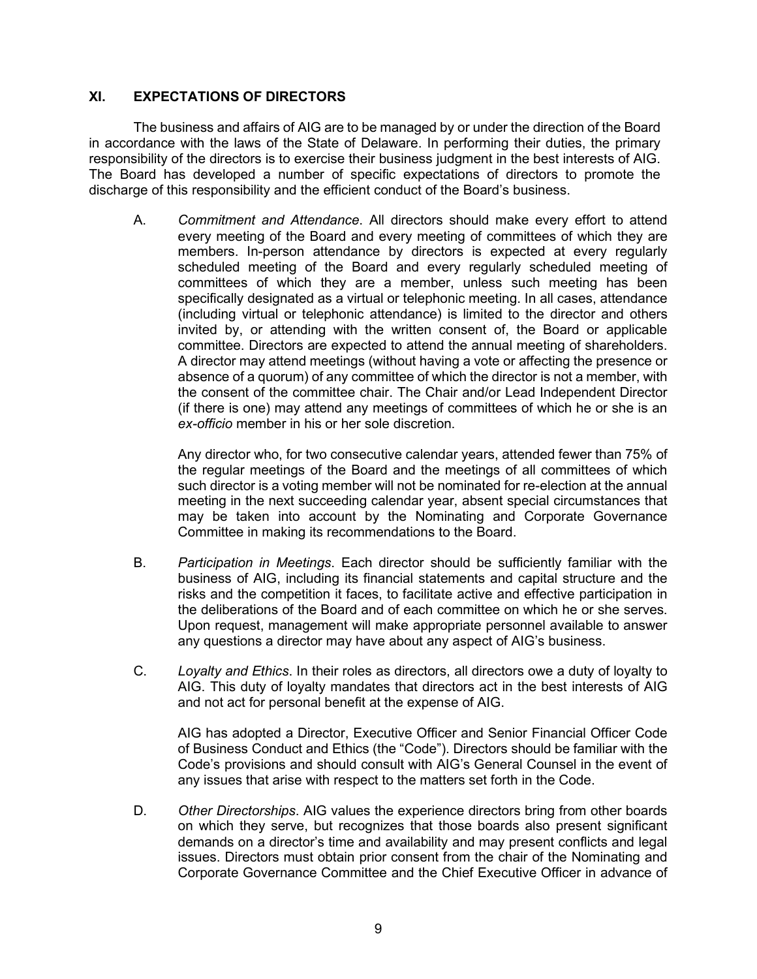## **XI. EXPECTATIONS OF DIRECTORS**

The business and affairs of AIG are to be managed by or under the direction of the Board in accordance with the laws of the State of Delaware. In performing their duties, the primary responsibility of the directors is to exercise their business judgment in the best interests of AIG. The Board has developed a number of specific expectations of directors to promote the discharge of this responsibility and the efficient conduct of the Board's business.

A. *Commitment and Attendance*. All directors should make every effort to attend every meeting of the Board and every meeting of committees of which they are members. In-person attendance by directors is expected at every regularly scheduled meeting of the Board and every regularly scheduled meeting of committees of which they are a member, unless such meeting has been specifically designated as a virtual or telephonic meeting. In all cases, attendance (including virtual or telephonic attendance) is limited to the director and others invited by, or attending with the written consent of, the Board or applicable committee. Directors are expected to attend the annual meeting of shareholders. A director may attend meetings (without having a vote or affecting the presence or absence of a quorum) of any committee of which the director is not a member, with the consent of the committee chair. The Chair and/or Lead Independent Director (if there is one) may attend any meetings of committees of which he or she is an *ex-officio* member in his or her sole discretion.

Any director who, for two consecutive calendar years, attended fewer than 75% of the regular meetings of the Board and the meetings of all committees of which such director is a voting member will not be nominated for re-election at the annual meeting in the next succeeding calendar year, absent special circumstances that may be taken into account by the Nominating and Corporate Governance Committee in making its recommendations to the Board.

- B. *Participation in Meetings*. Each director should be sufficiently familiar with the business of AIG, including its financial statements and capital structure and the risks and the competition it faces, to facilitate active and effective participation in the deliberations of the Board and of each committee on which he or she serves. Upon request, management will make appropriate personnel available to answer any questions a director may have about any aspect of AIG's business.
- C. *Loyalty and Ethics*. In their roles as directors, all directors owe a duty of loyalty to AIG. This duty of loyalty mandates that directors act in the best interests of AIG and not act for personal benefit at the expense of AIG.

AIG has adopted a Director, Executive Officer and Senior Financial Officer Code of Business Conduct and Ethics (the "Code"). Directors should be familiar with the Code's provisions and should consult with AIG's General Counsel in the event of any issues that arise with respect to the matters set forth in the Code.

D. *Other Directorships*. AIG values the experience directors bring from other boards on which they serve, but recognizes that those boards also present significant demands on a director's time and availability and may present conflicts and legal issues. Directors must obtain prior consent from the chair of the Nominating and Corporate Governance Committee and the Chief Executive Officer in advance of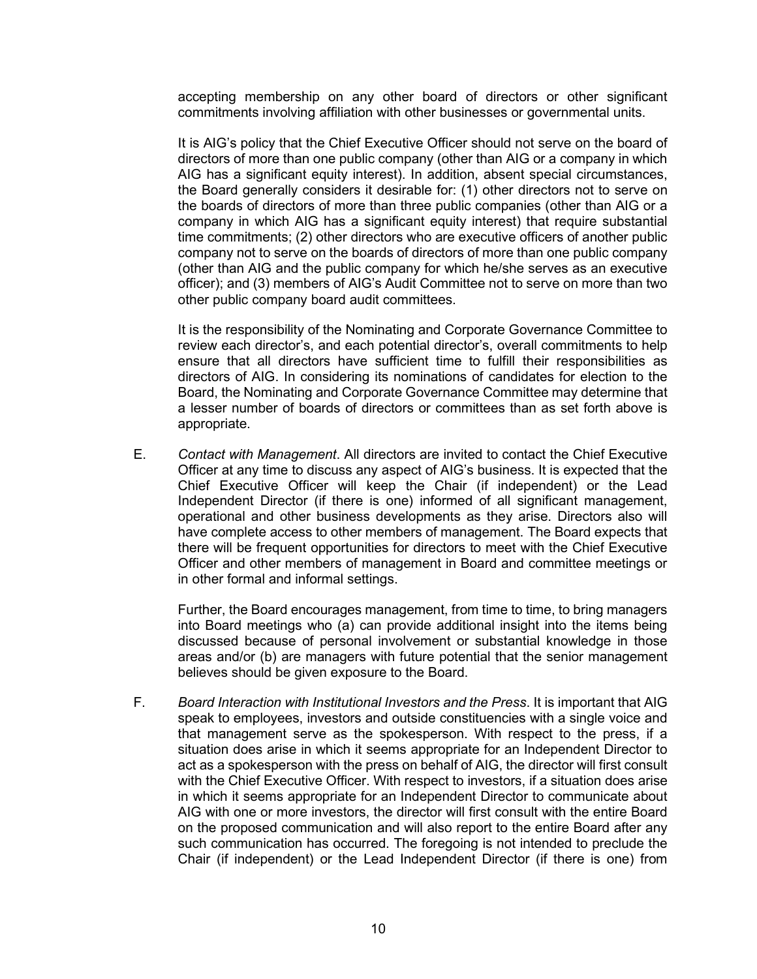accepting membership on any other board of directors or other significant commitments involving affiliation with other businesses or governmental units.

It is AIG's policy that the Chief Executive Officer should not serve on the board of directors of more than one public company (other than AIG or a company in which AIG has a significant equity interest). In addition, absent special circumstances, the Board generally considers it desirable for: (1) other directors not to serve on the boards of directors of more than three public companies (other than AIG or a company in which AIG has a significant equity interest) that require substantial time commitments; (2) other directors who are executive officers of another public company not to serve on the boards of directors of more than one public company (other than AIG and the public company for which he/she serves as an executive officer); and (3) members of AIG's Audit Committee not to serve on more than two other public company board audit committees.

It is the responsibility of the Nominating and Corporate Governance Committee to review each director's, and each potential director's, overall commitments to help ensure that all directors have sufficient time to fulfill their responsibilities as directors of AIG. In considering its nominations of candidates for election to the Board, the Nominating and Corporate Governance Committee may determine that a lesser number of boards of directors or committees than as set forth above is appropriate.

E. *Contact with Management*. All directors are invited to contact the Chief Executive Officer at any time to discuss any aspect of AIG's business. It is expected that the Chief Executive Officer will keep the Chair (if independent) or the Lead Independent Director (if there is one) informed of all significant management, operational and other business developments as they arise. Directors also will have complete access to other members of management. The Board expects that there will be frequent opportunities for directors to meet with the Chief Executive Officer and other members of management in Board and committee meetings or in other formal and informal settings.

Further, the Board encourages management, from time to time, to bring managers into Board meetings who (a) can provide additional insight into the items being discussed because of personal involvement or substantial knowledge in those areas and/or (b) are managers with future potential that the senior management believes should be given exposure to the Board.

F. *Board Interaction with Institutional Investors and the Press*. It is important that AIG speak to employees, investors and outside constituencies with a single voice and that management serve as the spokesperson. With respect to the press, if a situation does arise in which it seems appropriate for an Independent Director to act as a spokesperson with the press on behalf of AIG, the director will first consult with the Chief Executive Officer. With respect to investors, if a situation does arise in which it seems appropriate for an Independent Director to communicate about AIG with one or more investors, the director will first consult with the entire Board on the proposed communication and will also report to the entire Board after any such communication has occurred. The foregoing is not intended to preclude the Chair (if independent) or the Lead Independent Director (if there is one) from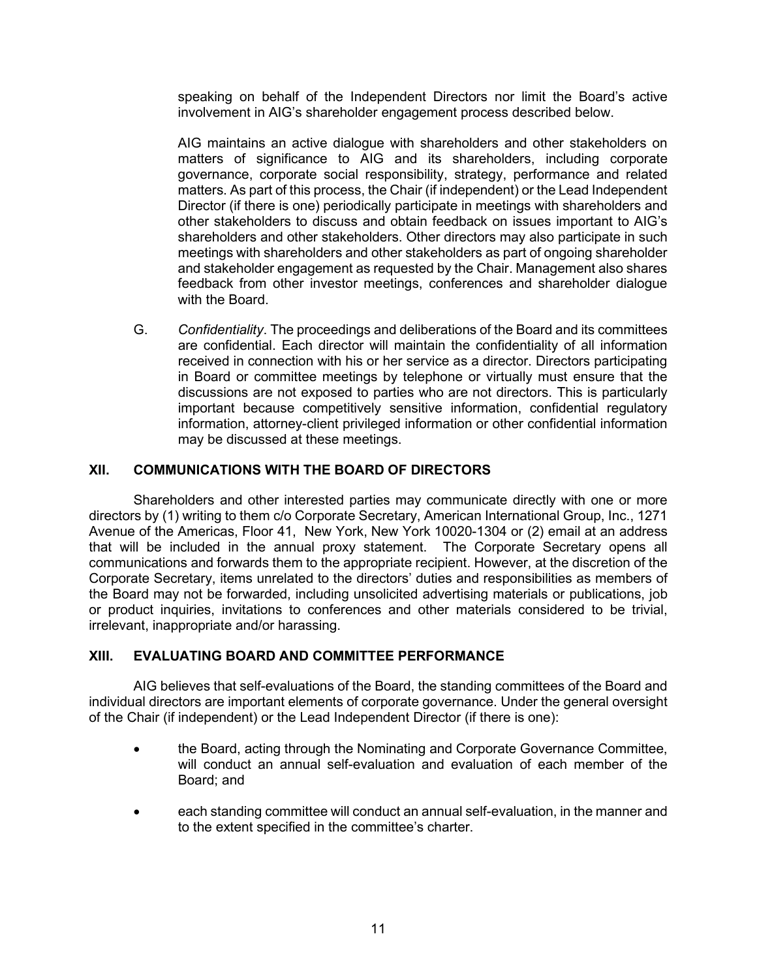speaking on behalf of the Independent Directors nor limit the Board's active involvement in AIG's shareholder engagement process described below.

AIG maintains an active dialogue with shareholders and other stakeholders on matters of significance to AIG and its shareholders, including corporate governance, corporate social responsibility, strategy, performance and related matters. As part of this process, the Chair (if independent) or the Lead Independent Director (if there is one) periodically participate in meetings with shareholders and other stakeholders to discuss and obtain feedback on issues important to AIG's shareholders and other stakeholders. Other directors may also participate in such meetings with shareholders and other stakeholders as part of ongoing shareholder and stakeholder engagement as requested by the Chair. Management also shares feedback from other investor meetings, conferences and shareholder dialogue with the Board.

G. *Confidentiality*. The proceedings and deliberations of the Board and its committees are confidential. Each director will maintain the confidentiality of all information received in connection with his or her service as a director. Directors participating in Board or committee meetings by telephone or virtually must ensure that the discussions are not exposed to parties who are not directors. This is particularly important because competitively sensitive information, confidential regulatory information, attorney-client privileged information or other confidential information may be discussed at these meetings.

## **XII. COMMUNICATIONS WITH THE BOARD OF DIRECTORS**

Shareholders and other interested parties may communicate directly with one or more directors by (1) writing to them c/o Corporate Secretary, American International Group, Inc., 1271 Avenue of the Americas, Floor 41, New York, New York 10020-1304 or (2) email at an address that will be included in the annual proxy statement. The Corporate Secretary opens all communications and forwards them to the appropriate recipient. However, at the discretion of the Corporate Secretary, items unrelated to the directors' duties and responsibilities as members of the Board may not be forwarded, including unsolicited advertising materials or publications, job or product inquiries, invitations to conferences and other materials considered to be trivial, irrelevant, inappropriate and/or harassing.

## **XIII. EVALUATING BOARD AND COMMITTEE PERFORMANCE**

AIG believes that self-evaluations of the Board, the standing committees of the Board and individual directors are important elements of corporate governance. Under the general oversight of the Chair (if independent) or the Lead Independent Director (if there is one):

- the Board, acting through the Nominating and Corporate Governance Committee, will conduct an annual self-evaluation and evaluation of each member of the Board; and
- each standing committee will conduct an annual self-evaluation, in the manner and to the extent specified in the committee's charter.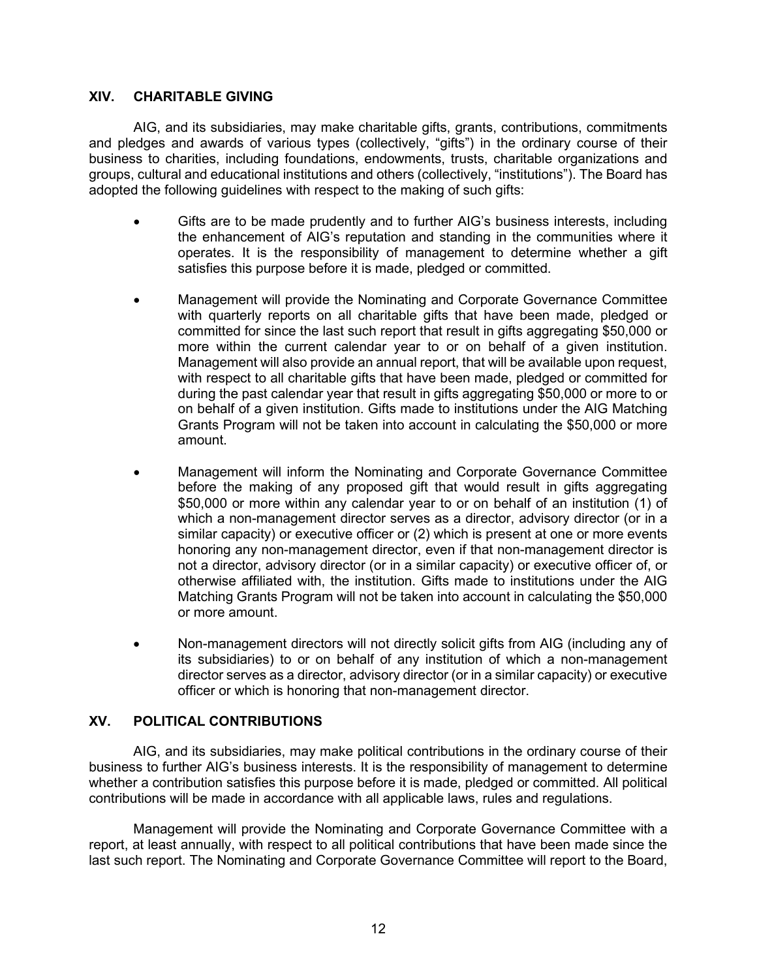#### **XIV. CHARITABLE GIVING**

AIG, and its subsidiaries, may make charitable gifts, grants, contributions, commitments and pledges and awards of various types (collectively, "gifts") in the ordinary course of their business to charities, including foundations, endowments, trusts, charitable organizations and groups, cultural and educational institutions and others (collectively, "institutions"). The Board has adopted the following guidelines with respect to the making of such gifts:

- Gifts are to be made prudently and to further AIG's business interests, including the enhancement of AIG's reputation and standing in the communities where it operates. It is the responsibility of management to determine whether a gift satisfies this purpose before it is made, pledged or committed.
- Management will provide the Nominating and Corporate Governance Committee with quarterly reports on all charitable gifts that have been made, pledged or committed for since the last such report that result in gifts aggregating \$50,000 or more within the current calendar year to or on behalf of a given institution. Management will also provide an annual report, that will be available upon request, with respect to all charitable gifts that have been made, pledged or committed for during the past calendar year that result in gifts aggregating \$50,000 or more to or on behalf of a given institution. Gifts made to institutions under the AIG Matching Grants Program will not be taken into account in calculating the \$50,000 or more amount.
- Management will inform the Nominating and Corporate Governance Committee before the making of any proposed gift that would result in gifts aggregating \$50,000 or more within any calendar year to or on behalf of an institution (1) of which a non-management director serves as a director, advisory director (or in a similar capacity) or executive officer or (2) which is present at one or more events honoring any non-management director, even if that non-management director is not a director, advisory director (or in a similar capacity) or executive officer of, or otherwise affiliated with, the institution. Gifts made to institutions under the AIG Matching Grants Program will not be taken into account in calculating the \$50,000 or more amount.
- Non-management directors will not directly solicit gifts from AIG (including any of its subsidiaries) to or on behalf of any institution of which a non-management director serves as a director, advisory director (or in a similar capacity) or executive officer or which is honoring that non-management director.

## **XV. POLITICAL CONTRIBUTIONS**

AIG, and its subsidiaries, may make political contributions in the ordinary course of their business to further AIG's business interests. It is the responsibility of management to determine whether a contribution satisfies this purpose before it is made, pledged or committed. All political contributions will be made in accordance with all applicable laws, rules and regulations.

Management will provide the Nominating and Corporate Governance Committee with a report, at least annually, with respect to all political contributions that have been made since the last such report. The Nominating and Corporate Governance Committee will report to the Board,